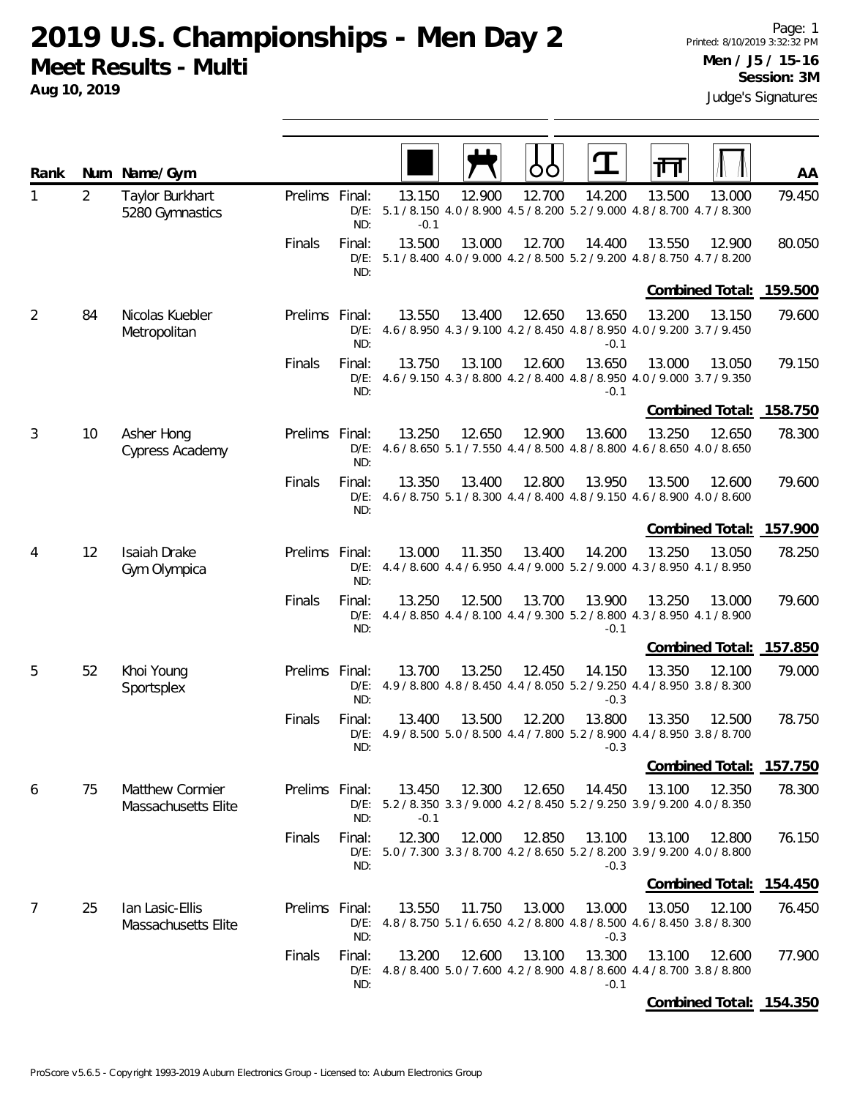**Aug 10, 2019**

| Rank |                | Num Name/Gym                           |                |                          |                  |        | OU     |                  |                                                                                                  | AA     |
|------|----------------|----------------------------------------|----------------|--------------------------|------------------|--------|--------|------------------|--------------------------------------------------------------------------------------------------|--------|
| 1    | $\overline{2}$ | Taylor Burkhart<br>5280 Gymnastics     | Prelims Final: | ND:                      | 13.150<br>$-0.1$ | 12.900 | 12.700 | 14.200           | 13.500<br>13.000<br>D/E: 5.1 / 8.150 4.0 / 8.900 4.5 / 8.200 5.2 / 9.000 4.8 / 8.700 4.7 / 8.300 | 79.450 |
|      |                |                                        | Finals         | Final:<br>ND:            | 13.500           | 13.000 | 12.700 | 14.400           | 13.550<br>12.900<br>D/E: 5.1 / 8.400 4.0 / 9.000 4.2 / 8.500 5.2 / 9.200 4.8 / 8.750 4.7 / 8.200 | 80.050 |
|      |                |                                        |                |                          |                  |        |        |                  | Combined Total: 159.500                                                                          |        |
| 2    | 84             | Nicolas Kuebler<br>Metropolitan        | <b>Prelims</b> | Final:<br>$D/E$ :<br>ND: | 13.550           | 13.400 | 12.650 | 13.650<br>$-0.1$ | 13.200<br>13.150<br>4.6 / 8.950 4.3 / 9.100 4.2 / 8.450 4.8 / 8.950 4.0 / 9.200 3.7 / 9.450      | 79.600 |
|      |                |                                        | Finals         | Final:<br>D/E:<br>ND:    | 13.750           | 13.100 | 12.600 | 13.650<br>$-0.1$ | 13.000<br>13.050<br>4.6 / 9.150 4.3 / 8.800 4.2 / 8.400 4.8 / 8.950 4.0 / 9.000 3.7 / 9.350      | 79.150 |
|      |                |                                        |                |                          |                  |        |        |                  | Combined Total: 158.750                                                                          |        |
| 3    | 10             | Asher Hong<br>Cypress Academy          | Prelims Final: | $D/E$ :<br>ND:           | 13.250           | 12.650 | 12.900 | 13.600           | 13.250<br>12.650<br>4.6 / 8.650 5.1 / 7.550 4.4 / 8.500 4.8 / 8.800 4.6 / 8.650 4.0 / 8.650      | 78.300 |
|      |                |                                        | Finals         | Final:<br>$D/E$ :<br>ND: | 13.350           | 13.400 | 12.800 | 13.950           | 13.500<br>12.600<br>4.6 / 8.750 5.1 / 8.300 4.4 / 8.400 4.8 / 9.150 4.6 / 8.900 4.0 / 8.600      | 79.600 |
|      |                |                                        |                |                          |                  |        |        |                  | Combined Total: 157.900                                                                          |        |
| 4    | 12             | Isaiah Drake<br>Gym Olympica           | Prelims Final: | $D/E$ :<br>ND:           | 13.000           | 11.350 | 13.400 | 14.200           | 13.250<br>13.050<br>4.4 / 8.600 4.4 / 6.950 4.4 / 9.000 5.2 / 9.000 4.3 / 8.950 4.1 / 8.950      | 78.250 |
|      |                |                                        | Finals         | Final:<br>$D/E$ :<br>ND: | 13.250           | 12.500 | 13.700 | 13.900<br>$-0.1$ | 13.250<br>13.000<br>4.4 / 8.850 4.4 / 8.100 4.4 / 9.300 5.2 / 8.800 4.3 / 8.950 4.1 / 8.900      | 79.600 |
|      |                |                                        |                |                          |                  |        |        |                  | Combined Total: 157.850                                                                          |        |
| 5    | 52             | Khoi Young<br>Sportsplex               | Prelims Final: | $D/E$ :<br>ND:           | 13.700           | 13.250 | 12.450 | 14.150<br>$-0.3$ | 13.350<br>12.100<br>4.9 / 8.800 4.8 / 8.450 4.4 / 8.050 5.2 / 9.250 4.4 / 8.950 3.8 / 8.300      | 79.000 |
|      |                |                                        | Finals         | Final:<br>$D/E$ :<br>ND: | 13.400           | 13.500 | 12.200 | 13.800<br>$-0.3$ | 13.350<br>12.500<br>4.9 / 8.500 5.0 / 8.500 4.4 / 7.800 5.2 / 8.900 4.4 / 8.950 3.8 / 8.700      | 78.750 |
|      |                |                                        |                |                          |                  |        |        |                  | Combined Total: 157.750                                                                          |        |
| 6    | 75             | Matthew Cormier<br>Massachusetts Elite | Prelims Final: | ND:                      | 13.450<br>$-0.1$ | 12.300 | 12.650 | 14.450           | 13.100<br>12.350<br>D/E: 5.2 / 8.350 3.3 / 9.000 4.2 / 8.450 5.2 / 9.250 3.9 / 9.200 4.0 / 8.350 | 78.300 |
|      |                |                                        | Finals         | Final:<br>ND:            | 12.300           | 12.000 | 12.850 | 13.100<br>$-0.3$ | 13.100<br>12.800<br>D/E: 5.0 / 7.300 3.3 / 8.700 4.2 / 8.650 5.2 / 8.200 3.9 / 9.200 4.0 / 8.800 | 76.150 |
|      |                |                                        |                |                          |                  |        |        |                  | Combined Total: 154.450                                                                          |        |
| 7    | 25             | lan Lasic-Ellis<br>Massachusetts Elite | Prelims Final: | ND:                      | 13.550           | 11.750 | 13.000 | 13.000<br>$-0.3$ | 13.050<br>12.100<br>D/E: 4.8 / 8.750 5.1 / 6.650 4.2 / 8.800 4.8 / 8.500 4.6 / 8.450 3.8 / 8.300 | 76.450 |
|      |                |                                        | Finals         | Final:<br>ND:            | 13.200           | 12.600 | 13.100 | 13.300<br>$-0.1$ | 13.100<br>12.600<br>D/E: 4.8 / 8.400 5.0 / 7.600 4.2 / 8.900 4.8 / 8.600 4.4 / 8.700 3.8 / 8.800 | 77.900 |
|      |                |                                        |                |                          |                  |        |        |                  | Combined Total: 154.350                                                                          |        |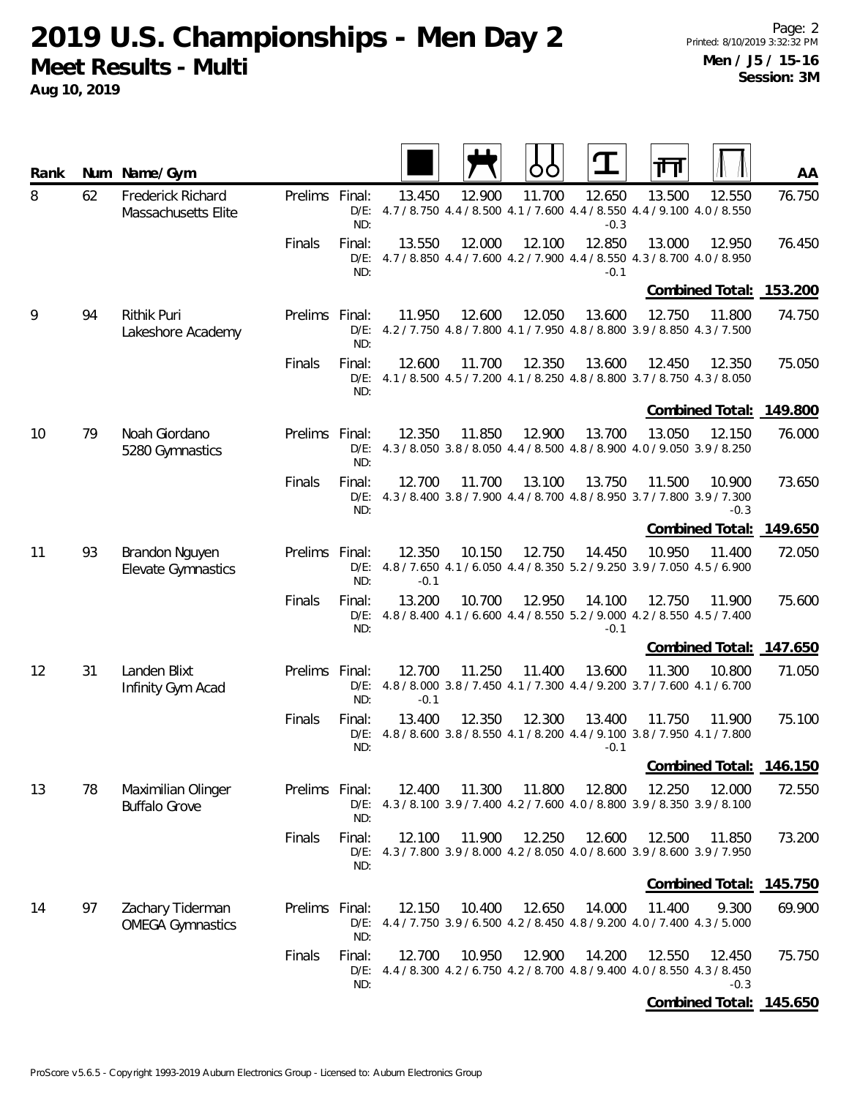| Rank |    | Num Name/Gym                                |                |                          |                  |        |        |                  | ╥╖                                                                                                         | AA      |
|------|----|---------------------------------------------|----------------|--------------------------|------------------|--------|--------|------------------|------------------------------------------------------------------------------------------------------------|---------|
| 8    | 62 | Frederick Richard<br>Massachusetts Elite    | Prelims Final: | ND:                      | 13.450           | 12.900 | 11.700 | 12.650<br>$-0.3$ | 13.500<br>12.550<br>D/E: 4.7 / 8.750 4.4 / 8.500 4.1 / 7.600 4.4 / 8.550 4.4 / 9.100 4.0 / 8.550           | 76.750  |
|      |    |                                             | Finals         | Final:<br>ND:            | 13.550           | 12.000 | 12.100 | 12.850<br>$-0.1$ | 13.000<br>12.950<br>D/E: 4.7 / 8.850 4.4 / 7.600 4.2 / 7.900 4.4 / 8.550 4.3 / 8.700 4.0 / 8.950           | 76.450  |
|      |    |                                             |                |                          |                  |        |        |                  | Combined Total:                                                                                            | 153.200 |
| 9    | 94 | Rithik Puri<br>Lakeshore Academy            | Prelims Final: | ND:                      | 11.950           | 12.600 | 12.050 | 13.600           | 12.750<br>11.800<br>D/E: 4.2 / 7.750 4.8 / 7.800 4.1 / 7.950 4.8 / 8.800 3.9 / 8.850 4.3 / 7.500           | 74.750  |
|      |    |                                             | Finals         | Final:<br>ND:            | 12.600           | 11.700 | 12.350 | 13.600           | 12.450<br>12.350<br>D/E: 4.1 / 8.500 4.5 / 7.200 4.1 / 8.250 4.8 / 8.800 3.7 / 8.750 4.3 / 8.050           | 75.050  |
|      |    |                                             |                |                          |                  |        |        |                  | Combined Total: 149.800                                                                                    |         |
| 10   | 79 | Noah Giordano<br>5280 Gymnastics            | Prelims Final: | ND:                      | 12.350           | 11.850 | 12.900 | 13.700           | 13.050<br>12.150<br>D/E: 4.3 / 8.050 3.8 / 8.050 4.4 / 8.500 4.8 / 8.900 4.0 / 9.050 3.9 / 8.250           | 76.000  |
|      |    |                                             | Finals         | Final:<br>ND:            | 12.700           | 11.700 | 13.100 | 13.750           | 11.500<br>10.900<br>D/E: 4.3 / 8.400 3.8 / 7.900 4.4 / 8.700 4.8 / 8.950 3.7 / 7.800 3.9 / 7.300<br>$-0.3$ | 73.650  |
|      |    |                                             |                |                          |                  |        |        |                  | Combined Total:                                                                                            | 149.650 |
| 11   | 93 | Brandon Nguyen<br><b>Elevate Gymnastics</b> | Prelims Final: | ND:                      | 12.350<br>$-0.1$ | 10.150 | 12.750 | 14.450           | 10.950<br>11.400<br>D/E: 4.8 / 7.650 4.1 / 6.050 4.4 / 8.350 5.2 / 9.250 3.9 / 7.050 4.5 / 6.900           | 72.050  |
|      |    |                                             | Finals         | Final:<br>ND:            | 13.200           | 10.700 | 12.950 | 14.100<br>$-0.1$ | 12.750<br>11.900<br>D/E: 4.8 / 8.400 4.1 / 6.600 4.4 / 8.550 5.2 / 9.000 4.2 / 8.550 4.5 / 7.400           | 75.600  |
|      |    |                                             |                |                          |                  |        |        |                  | Combined Total: 147.650                                                                                    |         |
| 12   | 31 | Landen Blixt<br>Infinity Gym Acad           | Prelims Final: | ND:                      | 12.700<br>$-0.1$ | 11.250 | 11.400 | 13.600           | 11.300<br>10.800<br>D/E: 4.8 / 8.000 3.8 / 7.450 4.1 / 7.300 4.4 / 9.200 3.7 / 7.600 4.1 / 6.700           | 71.050  |
|      |    |                                             | Finals         | Final:<br>$D/E$ :<br>ND: | 13.400           | 12.350 | 12.300 | 13.400<br>$-0.1$ | 11.750<br>11.900<br>4.8 / 8.600 3.8 / 8.550 4.1 / 8.200 4.4 / 9.100 3.8 / 7.950 4.1 / 7.800                | 75.100  |
|      |    |                                             |                |                          |                  |        |        |                  | Combined Total:                                                                                            | 146.150 |
| 13   | 78 | Maximilian Olinger<br><b>Buffalo Grove</b>  | Prelims Final: | ND:                      | 12.400           | 11.300 | 11.800 | 12.800           | 12.250<br>12.000<br>D/E: 4.3 / 8.100 3.9 / 7.400 4.2 / 7.600 4.0 / 8.800 3.9 / 8.350 3.9 / 8.100           | 72.550  |
|      |    |                                             | Finals         | Final:<br>ND:            | 12.100           | 11.900 | 12.250 | 12.600           | 12.500<br>11.850<br>D/E: 4.3/7.800 3.9/8.000 4.2/8.050 4.0/8.600 3.9/8.600 3.9/7.950                       | 73.200  |
|      |    |                                             |                |                          |                  |        |        |                  | Combined Total: 145.750                                                                                    |         |
| 14   | 97 | Zachary Tiderman<br><b>OMEGA Gymnastics</b> | Prelims Final: | $D/E$ :<br>ND:           | 12.150           | 10.400 | 12.650 | 14.000           | 11.400<br>9.300<br>4.4 / 7.750 3.9 / 6.500 4.2 / 8.450 4.8 / 9.200 4.0 / 7.400 4.3 / 5.000                 | 69.900  |
|      |    |                                             | Finals         | Final:<br>ND:            | 12.700           | 10.950 | 12.900 | 14.200           | 12.550<br>12.450<br>D/E: 4.4 / 8.300 4.2 / 6.750 4.2 / 8.700 4.8 / 9.400 4.0 / 8.550 4.3 / 8.450<br>$-0.3$ | 75.750  |
|      |    |                                             |                |                          |                  |        |        |                  | Combined Total: 145.650                                                                                    |         |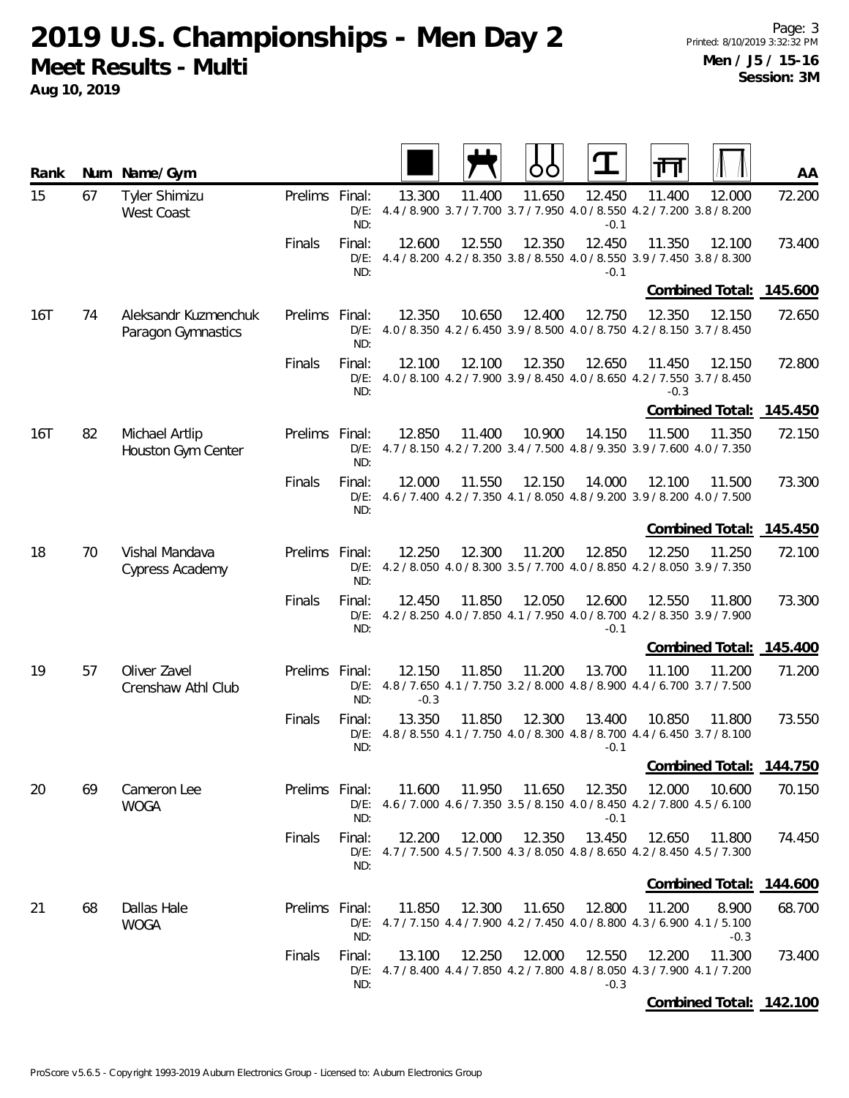**Aug 10, 2019**

| Rank |    | Num Name/Gym                               |                |                          |                  |        |        |                  |                                                                                                            | AA              |
|------|----|--------------------------------------------|----------------|--------------------------|------------------|--------|--------|------------------|------------------------------------------------------------------------------------------------------------|-----------------|
| 15   | 67 | <b>Tyler Shimizu</b><br><b>West Coast</b>  | Prelims Final: | ND:                      | 13.300           | 11.400 | 11.650 | 12.450<br>$-0.1$ | 11.400<br>12.000<br>D/E: 4.4 / 8.900 3.7 / 7.700 3.7 / 7.950 4.0 / 8.550 4.2 / 7.200 3.8 / 8.200           | 72.200          |
|      |    |                                            | Finals         | Final:<br>ND:            | 12.600           | 12.550 | 12.350 | 12.450<br>$-0.1$ | 11.350<br>12.100<br>D/E: 4.4 / 8.200 4.2 / 8.350 3.8 / 8.550 4.0 / 8.550 3.9 / 7.450 3.8 / 8.300           | 73.400          |
|      |    |                                            |                |                          |                  |        |        |                  | Combined Total: 145.600                                                                                    |                 |
| 16T  | 74 | Aleksandr Kuzmenchuk<br>Paragon Gymnastics | Prelims Final: | $D/E$ :<br>ND:           | 12.350           | 10.650 | 12.400 | 12.750           | 12.350<br>12.150<br>4.0 / 8.350 4.2 / 6.450 3.9 / 8.500 4.0 / 8.750 4.2 / 8.150 3.7 / 8.450                | 72.650          |
|      |    |                                            | Finals         | Final:<br>ND:            | 12.100           | 12.100 | 12.350 | 12.650           | 11.450<br>12.150<br>D/E: 4.0 / 8.100 4.2 / 7.900 3.9 / 8.450 4.0 / 8.650 4.2 / 7.550 3.7 / 8.450<br>$-0.3$ | 72.800          |
|      |    |                                            |                |                          |                  |        |        |                  | <b>Combined Total:</b>                                                                                     | 14 <u>5.450</u> |
| 16T  | 82 | Michael Artlip<br>Houston Gym Center       | Prelims Final: | ND:                      | 12.850           | 11.400 | 10.900 | 14.150           | 11.500<br>11.350<br>D/E: 4.7 / 8.150 4.2 / 7.200 3.4 / 7.500 4.8 / 9.350 3.9 / 7.600 4.0 / 7.350           | 72.150          |
|      |    |                                            | Finals         | Final:<br>$D/E$ :<br>ND: | 12.000           | 11.550 | 12.150 | 14.000           | 12.100<br>11.500<br>4.6 / 7.400 4.2 / 7.350 4.1 / 8.050 4.8 / 9.200 3.9 / 8.200 4.0 / 7.500                | 73.300          |
|      |    |                                            |                |                          |                  |        |        |                  | Combined Total:                                                                                            | 145.450         |
| 18   | 70 | Vishal Mandava<br>Cypress Academy          | Prelims Final: | ND:                      | 12.250           | 12.300 | 11.200 | 12.850           | 12.250<br>11.250<br>D/E: 4.2 / 8.050 4.0 / 8.300 3.5 / 7.700 4.0 / 8.850 4.2 / 8.050 3.9 / 7.350           | 72.100          |
|      |    |                                            | Finals         | Final:<br>ND:            | 12.450           | 11.850 | 12.050 | 12.600<br>$-0.1$ | 12.550<br>11.800<br>D/E: 4.2 / 8.250 4.0 / 7.850 4.1 / 7.950 4.0 / 8.700 4.2 / 8.350 3.9 / 7.900           | 73.300          |
|      |    |                                            |                |                          |                  |        |        |                  | Combined Total: 145.400                                                                                    |                 |
| 19   | 57 | Oliver Zavel<br>Crenshaw Athl Club         | Prelims Final: | ND:                      | 12.150<br>$-0.3$ | 11.850 | 11.200 | 13.700           | 11.100<br>11.200<br>D/E: 4.8 / 7.650 4.1 / 7.750 3.2 / 8.000 4.8 / 8.900 4.4 / 6.700 3.7 / 7.500           | 71.200          |
|      |    |                                            | Finals         | Final:<br>D/E:<br>ND:    | 13.350           | 11.850 | 12.300 | 13.400<br>$-0.1$ | 10.850<br>11.800<br>4.8 / 8.550 4.1 / 7.750 4.0 / 8.300 4.8 / 8.700 4.4 / 6.450 3.7 / 8.100                | 73.550          |
|      |    |                                            |                |                          |                  |        |        |                  | Combined Total: 144.750                                                                                    |                 |
| 20   | 69 | Cameron Lee<br><b>WOGA</b>                 | Prelims Final: | ND:                      | 11.600           | 11.950 | 11.650 | 12.350<br>$-0.1$ | 12.000<br>10.600<br>D/E: 4.6 / 7.000 4.6 / 7.350 3.5 / 8.150 4.0 / 8.450 4.2 / 7.800 4.5 / 6.100           | 70.150          |
|      |    |                                            | Finals         | Final:<br>ND:            | 12.200           | 12.000 | 12.350 | 13.450           | 12.650<br>11.800<br>D/E: 4.7 / 7.500 4.5 / 7.500 4.3 / 8.050 4.8 / 8.650 4.2 / 8.450 4.5 / 7.300           | 74.450          |
|      |    |                                            |                |                          |                  |        |        |                  | Combined Total: 144.600                                                                                    |                 |
| 21   | 68 | Dallas Hale<br><b>WOGA</b>                 | Prelims Final: | ND:                      | 11.850           | 12.300 | 11.650 | 12.800           | 11.200<br>8.900<br>D/E: 4.7/7.150 4.4/7.900 4.2/7.450 4.0/8.800 4.3/6.900 4.1/5.100<br>$-0.3$              | 68.700          |
|      |    |                                            | Finals         | Final:<br>ND:            | 13.100           | 12.250 | 12.000 | 12.550<br>$-0.3$ | 12.200<br>11.300<br>D/E: 4.7 / 8.400 4.4 / 7.850 4.2 / 7.800 4.8 / 8.050 4.3 / 7.900 4.1 / 7.200           | 73.400          |
|      |    |                                            |                |                          |                  |        |        |                  | Combined Total: 142.100                                                                                    |                 |